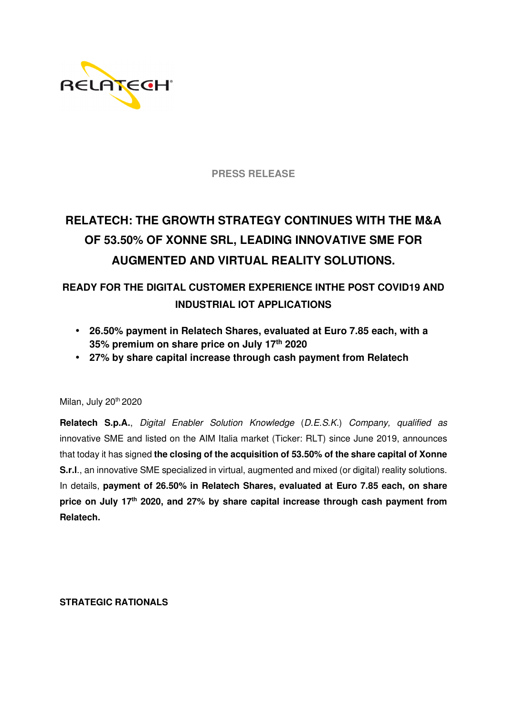

**PRESS RELEASE** 

# **RELATECH: THE GROWTH STRATEGY CONTINUES WITH THE M&A OF 53.50% OF XONNE SRL, LEADING INNOVATIVE SME FOR AUGMENTED AND VIRTUAL REALITY SOLUTIONS.**

## **READY FOR THE DIGITAL CUSTOMER EXPERIENCE INTHE POST COVID19 AND INDUSTRIAL IOT APPLICATIONS**

- **26.50% payment in Relatech Shares, evaluated at Euro 7.85 each, with a 35% premium on share price on July 17th 2020**
- **27% by share capital increase through cash payment from Relatech**

Milan, July 20<sup>th</sup> 2020

**Relatech S.p.A.**, Digital Enabler Solution Knowledge (D.E.S.K.) Company, qualified as innovative SME and listed on the AIM Italia market (Ticker: RLT) since June 2019, announces that today it has signed **the closing of the acquisition of 53.50% of the share capital of Xonne S.r.l**., an innovative SME specialized in virtual, augmented and mixed (or digital) reality solutions. In details, **payment of 26.50% in Relatech Shares, evaluated at Euro 7.85 each, on share price on July 17th 2020, and 27% by share capital increase through cash payment from Relatech.** 

### **STRATEGIC RATIONALS**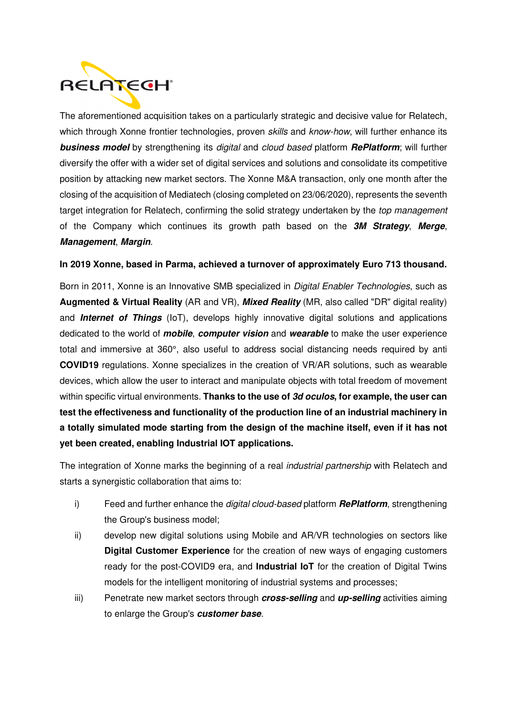

The aforementioned acquisition takes on a particularly strategic and decisive value for Relatech, which through Xonne frontier technologies, proven skills and know-how, will further enhance its **business model** by strengthening its digital and cloud based platform **RePlatform**; will further diversify the offer with a wider set of digital services and solutions and consolidate its competitive position by attacking new market sectors. The Xonne M&A transaction, only one month after the closing of the acquisition of Mediatech (closing completed on 23/06/2020), represents the seventh target integration for Relatech, confirming the solid strategy undertaken by the top management of the Company which continues its growth path based on the **3M Strategy**, **Merge**, **Management**, **Margin**.

#### **In 2019 Xonne, based in Parma, achieved a turnover of approximately Euro 713 thousand.**

Born in 2011, Xonne is an Innovative SMB specialized in Digital Enabler Technologies, such as **Augmented & Virtual Reality** (AR and VR), **Mixed Reality** (MR, also called "DR" digital reality) and **Internet of Things** (IoT), develops highly innovative digital solutions and applications dedicated to the world of **mobile**, **computer vision** and **wearable** to make the user experience total and immersive at 360°, also useful to address social distancing needs required by anti **COVID19** regulations. Xonne specializes in the creation of VR/AR solutions, such as wearable devices, which allow the user to interact and manipulate objects with total freedom of movement within specific virtual environments. **Thanks to the use of 3d oculos, for example, the user can test the effectiveness and functionality of the production line of an industrial machinery in a totally simulated mode starting from the design of the machine itself, even if it has not yet been created, enabling Industrial IOT applications.**

The integration of Xonne marks the beginning of a real *industrial partnership* with Relatech and starts a synergistic collaboration that aims to:

- i) Feed and further enhance the digital cloud-based platform **RePlatform**, strengthening the Group's business model;
- ii) develop new digital solutions using Mobile and AR/VR technologies on sectors like **Digital Customer Experience** for the creation of new ways of engaging customers ready for the post-COVID9 era, and **Industrial IoT** for the creation of Digital Twins models for the intelligent monitoring of industrial systems and processes;
- iii) Penetrate new market sectors through **cross-selling** and **up-selling** activities aiming to enlarge the Group's **customer base**.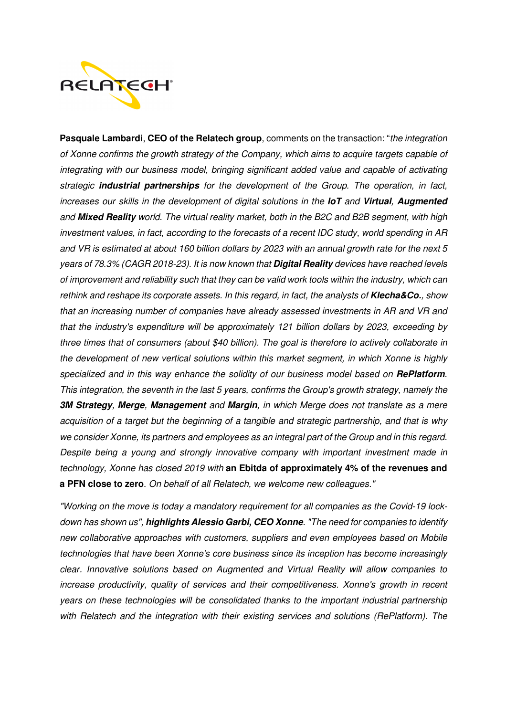

**Pasquale Lambardi**, **CEO of the Relatech group**, comments on the transaction: "the integration of Xonne confirms the growth strategy of the Company, which aims to acquire targets capable of integrating with our business model, bringing significant added value and capable of activating strategic **industrial partnerships** for the development of the Group. The operation, in fact, increases our skills in the development of digital solutions in the **IoT** and **Virtual**, **Augmented** and **Mixed Reality** world. The virtual reality market, both in the B2C and B2B segment, with high investment values, in fact, according to the forecasts of a recent IDC study, world spending in AR and VR is estimated at about 160 billion dollars by 2023 with an annual growth rate for the next 5 years of 78.3% (CAGR 2018-23). It is now known that **Digital Reality** devices have reached levels of improvement and reliability such that they can be valid work tools within the industry, which can rethink and reshape its corporate assets. In this regard, in fact, the analysts of **Klecha&Co.**, show that an increasing number of companies have already assessed investments in AR and VR and that the industry's expenditure will be approximately 121 billion dollars by 2023, exceeding by three times that of consumers (about \$40 billion). The goal is therefore to actively collaborate in the development of new vertical solutions within this market segment, in which Xonne is highly specialized and in this way enhance the solidity of our business model based on **RePlatform**. This integration, the seventh in the last 5 years, confirms the Group's growth strategy, namely the **3M Strategy**, **Merge**, **Management** and **Margin**, in which Merge does not translate as a mere acquisition of a target but the beginning of a tangible and strategic partnership, and that is why we consider Xonne, its partners and employees as an integral part of the Group and in this regard. Despite being a young and strongly innovative company with important investment made in technology, Xonne has closed 2019 with **an Ebitda of approximately 4% of the revenues and a PFN close to zero**. On behalf of all Relatech, we welcome new colleagues."

"Working on the move is today a mandatory requirement for all companies as the Covid-19 lockdown has shown us", **highlights Alessio Garbi, CEO Xonne**. "The need for companies to identify new collaborative approaches with customers, suppliers and even employees based on Mobile technologies that have been Xonne's core business since its inception has become increasingly clear. Innovative solutions based on Augmented and Virtual Reality will allow companies to increase productivity, quality of services and their competitiveness. Xonne's growth in recent years on these technologies will be consolidated thanks to the important industrial partnership with Relatech and the integration with their existing services and solutions (RePlatform). The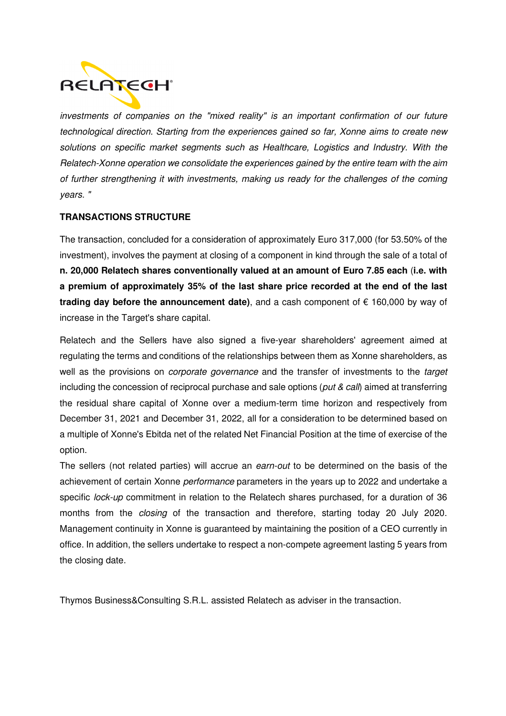

investments of companies on the "mixed reality" is an important confirmation of our future technological direction. Starting from the experiences gained so far, Xonne aims to create new solutions on specific market segments such as Healthcare, Logistics and Industry. With the Relatech-Xonne operation we consolidate the experiences gained by the entire team with the aim of further strengthening it with investments, making us ready for the challenges of the coming years. "

### **TRANSACTIONS STRUCTURE**

The transaction, concluded for a consideration of approximately Euro 317,000 (for 53.50% of the investment), involves the payment at closing of a component in kind through the sale of a total of **n. 20,000 Relatech shares conventionally valued at an amount of Euro 7.85 each** (**i.e. with a premium of approximately 35% of the last share price recorded at the end of the last trading day before the announcement date)**, and a cash component of € 160,000 by way of increase in the Target's share capital.

Relatech and the Sellers have also signed a five-year shareholders' agreement aimed at regulating the terms and conditions of the relationships between them as Xonne shareholders, as well as the provisions on *corporate governance* and the transfer of investments to the target including the concession of reciprocal purchase and sale options (put & call) aimed at transferring the residual share capital of Xonne over a medium-term time horizon and respectively from December 31, 2021 and December 31, 2022, all for a consideration to be determined based on a multiple of Xonne's Ebitda net of the related Net Financial Position at the time of exercise of the option.

The sellers (not related parties) will accrue an earn-out to be determined on the basis of the achievement of certain Xonne performance parameters in the years up to 2022 and undertake a specific *lock-up* commitment in relation to the Relatech shares purchased, for a duration of 36 months from the *closing* of the transaction and therefore, starting today 20 July 2020. Management continuity in Xonne is guaranteed by maintaining the position of a CEO currently in office. In addition, the sellers undertake to respect a non-compete agreement lasting 5 years from the closing date.

Thymos Business&Consulting S.R.L. assisted Relatech as adviser in the transaction.